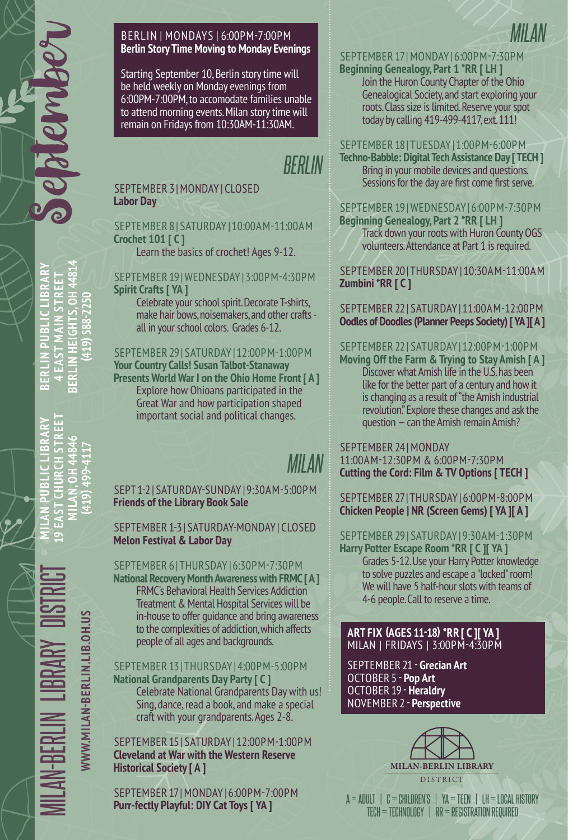**BERLIN PUBLIC LIBRARY 4 EAST MAIN STREET BERLIN HEIGHTS, OH 44814 (419) 588-2250**

 $\frac{1}{2}$ 

**PUBLIC LIBRARY CHST** 

**MAIN STR** U

BRA

GHTS, OH 4481

**ILIN HEIG** EAST ERLINI

혽

419) 588-225

BERLIN | MONDAYS | 6:00PM-7:00PM **Berlin Story Time Moving to Monday Evenings**

Starting September 10, Berlin story time will be held weekly on Monday evenings from 6:00PM-7:00PM, to accomodate families unable to attend morning events. Milan story time will remain on Fridays from 10:30AM-11:30AM.

# *BERLIN*

#### SEPTEMBER 3 | MONDAY | CLOSED **Labor Day**

#### SEPTEMBER 8 | SATURDAY | 10:00AM-11:00AM **Crochet 101 [ C ]**

Learn the basics of crochet! Ages 9-12.

### SEPTEMBER 19 | WEDNESDAY | 3:00PM-4:30PM **Spirit Crafts [ YA ]**

Celebrate your school spirit. Decorate T-shirts, make hair bows, noisemakers, and other crafts all in your school colors. Grades 6-12.

#### SEPTEMBER 29 | SATURDAY | 12:00PM-1:00PM **Your Country Calls! Susan Talbot-Stanaway Presents World War I on the Ohio Home Front [ A ]** Explore how Ohioans participated in the Great War and how participation shaped

important social and political changes.

# *MILAN*

#### SEPT 1-2 | SATURDAY-SUNDAY | 9:30AM-5:00PM **Friends of the Library Book Sale**

#### SEPTEMBER 1-3 | SATURDAY-MONDAY | CLOSED **Melon Festival & Labor Day**

# SEPTEMBER 6 | THURSDAY | 6:30PM-7:30PM

**National Recovery Month Awareness with FRMC [ A ]** FRMC's Behavioral Health Services Addiction Treatment & Mental Hospital Services will be in-house to offer guidance and bring awareness to the complexities of addiction, which affects people of all ages and backgrounds.

#### SEPTEMBER 13 | THURSDAY | 4:00PM-5:00PM **National Grandparents Day Party [ C ]**

Celebrate National Grandparents Day with us! Sing, dance, read a book, and make a special craft with your grandparents. Ages 2-8.

SEPTEMBER 15 | SATURDAY | 12:00PM-1:00PM **Cleveland at War with the Western Reserve Historical Society [ A ]**

SEPTEMBER 17 | MONDAY | 6:00PM-7:00PM **Purr-fectly Playful: DIY Cat Toys [ YA ]**

# SEPTEMBER 17 | MONDAY | 6:00PM-7:30PM

*MILAN*

**Beginning Genealogy, Part 1 \*RR [ LH ]**  Join the Huron County Chapter of the Ohio Genealogical Society, and start exploring your roots. Class size is limited. Reserve your spot today by calling 419-499-4117, ext. 111!

SEPTEMBER 18 | TUESDAY | 1:00PM-6:00PM

**Techno-Babble: Digital Tech Assistance Day [ TECH ]** Bring in your mobile devices and questions. Sessions for the day are first come first serve.

SEPTEMBER 19 | WEDNESDAY | 6:00PM-7:30PM

**Beginning Genealogy, Part 2 \*RR [ LH ]** Track down your roots with Huron County OGS volunteers. Attendance at Part 1 is required.

SEPTEMBER 20 | THURSDAY | 10:30AM-11:00AM **Zumbini \*RR [ C ]**

SEPTEMBER 22 | SATURDAY | 11:00AM-12:00PM **Oodles of Doodles (Planner Peeps Society) [ YA ][ A ]**

# SEPTEMBER 22 | SATURDAY | 12:00PM-1:00PM

**Moving Off the Farm & Trying to Stay Amish [ A ]** Discover what Amish life in the U.S. has been like for the better part of a century and how it is changing as a result of "the Amish industrial revolution." Explore these changes and ask the question — can the Amish remain Amish?

SEPTEMBER 24 | MONDAY

11:00AM-12:30PM & 6:00PM-7:30PM **Cutting the Cord: Film & TV Options [ TECH ]**

SEPTEMBER 27 | THURSDAY | 6:00PM-8:00PM **Chicken People | NR (Screen Gems) [ YA ][ A ]**

#### SEPTEMBER 29 | SATURDAY | 9:30AM-1:30PM **Harry Potter Escape Room \*RR [ C ][ YA ]**

Grades 5-12. Use your Harry Potter knowledge to solve puzzles and escape a "locked" room! We will have 5 half-hour slots with teams of 4-6 people. Call to reserve a time.

**ART FIX (AGES 11-18) \*RR [ C ][ YA ]** MILAN | FRIDAYS | 3:00PM-4:30PM

SEPTEMBER 21 - **Grecian Art** OCTOBER 5 - **Pop Art** OCTOBER 19 - **Heraldry** NOVEMBER 2 - **Perspective**



 $A = ADULT$   $C = CHILOREN'S$   $YA = TEEN$   $I.H = LOCAL$  HISTORY TECH = TECHNOLOGY | RR = REGISTRATION REQUIRED

MILAN-BERLIN LIBRARY DISTRICT **MILAN PUBLIC LIBRARY 19 EAST CHURCH STREET MILAN, OH 44846** WWW.MILAN-BERLIN.LIB.OH.US

**WWW.MILAN-BERLIN.LIB.OH.US**

**(419) 499-4117**

**ILAN, C**<br>419) 4 **ST CHI LAN<br>EAST**